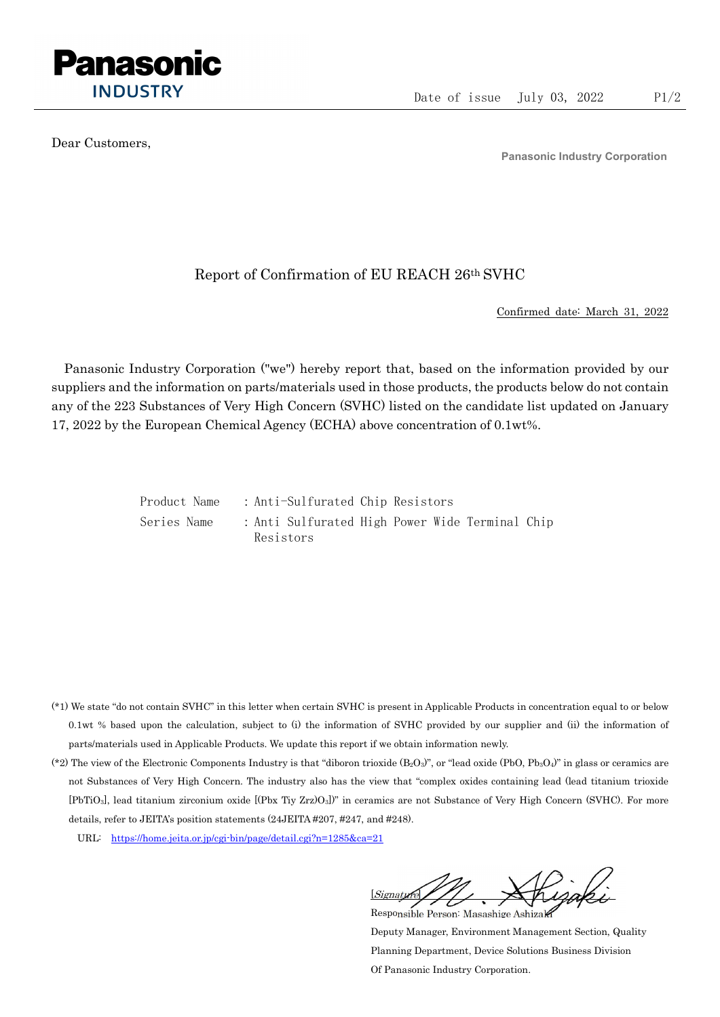

Dear Customers,

Panasonic Industry Corporation

## Report of Confirmation of EU REACH 26th SVHC

Confirmed date: March 31, 2022

Panasonic Industry Corporation ("we") hereby report that, based on the information provided by our suppliers and the information on parts/materials used in those products, the products below do not contain any of the 223 Substances of Very High Concern (SVHC) listed on the candidate list updated on January 17, 2022 by the European Chemical Agency (ECHA) above concentration of 0.1wt%.

> Product Name : Anti-Sulfurated Chip Resistors Series Name : Anti Sulfurated High Power Wide Terminal Chip Resistors

- (\*1) We state "do not contain SVHC" in this letter when certain SVHC is present in Applicable Products in concentration equal to or below 0.1wt % based upon the calculation, subject to (i) the information of SVHC provided by our supplier and (ii) the information of parts/materials used in Applicable Products. We update this report if we obtain information newly.
- (\*2) The view of the Electronic Components Industry is that "diboron trioxide  $(B_2O_3)$ ", or "lead oxide (PbO, Pb<sub>3</sub>O<sub>4</sub>)" in glass or ceramics are not Substances of Very High Concern. The industry also has the view that "complex oxides containing lead (lead titanium trioxide [PbTiO3], lead titanium zirconium oxide [(Pbx Tiy Zrz)O3])" in ceramics are not Substance of Very High Concern (SVHC). For more details, refer to JEITA's position statements (24JEITA #207, #247, and #248).
	- URL: https://home.jeita.or.jp/cgi-bin/page/detail.cgi?n=1285&ca=21

[Signature] Responsible Person: Masashige Ashizaki

Deputy Manager, Environment Management Section, Quality Planning Department, Device Solutions Business Division Of Panasonic Industry Corporation.